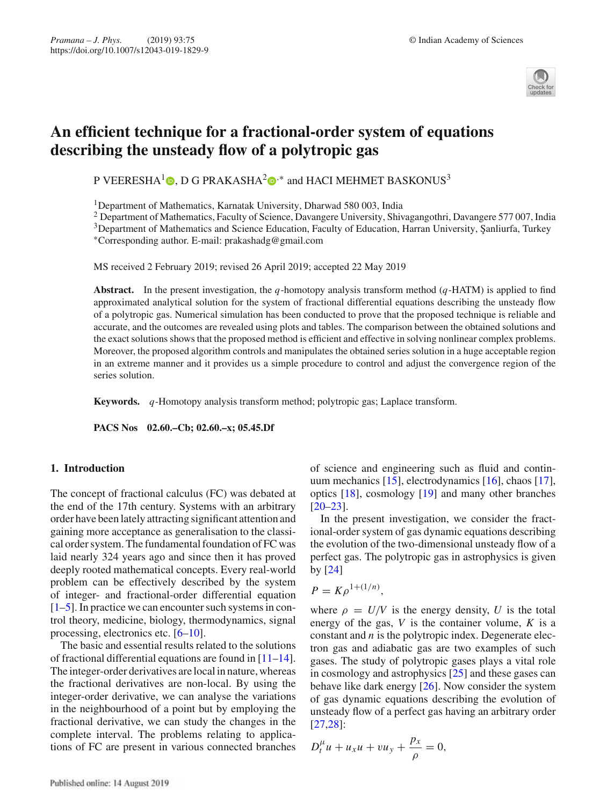

# **An efficient technique for a fractional-order system of equations describing the unsteady flow of a polytropic gas**

P VEERESHA<sup>1</sup> $\bigcirc$ , D G PRAKASHA<sup>2</sup> $\bigcirc$ <sup>\*</sup> and HACI MEHMET BASKONUS<sup>3</sup>

1Department of Mathematics, Karnatak University, Dharwad 580 003, India

<sup>2</sup> Department of Mathematics, Faculty of Science, Davangere University, Shivagangothri, Davangere 577 007, India

<sup>3</sup>Department of Mathematics and Science Education, Faculty of Education, Harran University, Şanliurfa, Turkey

∗Corresponding author. E-mail: prakashadg@gmail.com

MS received 2 February 2019; revised 26 April 2019; accepted 22 May 2019

**Abstract.** In the present investigation, the *q*-homotopy analysis transform method (*q*-HATM) is applied to find approximated analytical solution for the system of fractional differential equations describing the unsteady flow of a polytropic gas. Numerical simulation has been conducted to prove that the proposed technique is reliable and accurate, and the outcomes are revealed using plots and tables. The comparison between the obtained solutions and the exact solutions shows that the proposed method is efficient and effective in solving nonlinear complex problems. Moreover, the proposed algorithm controls and manipulates the obtained series solution in a huge acceptable region in an extreme manner and it provides us a simple procedure to control and adjust the convergence region of the series solution.

**Keywords.** *q*-Homotopy analysis transform method; polytropic gas; Laplace transform.

**PACS Nos 02.60.–Cb; 02.60.–x; 05.45.Df**

# **1. Introduction**

The concept of fractional calculus (FC) was debated at the end of the 17th century. Systems with an arbitrary order have been lately attracting significant attention and gaining more acceptance as generalisation to the classical order system. The fundamental foundation of FC was laid nearly 324 years ago and since then it has proved deeply rooted mathematical concepts. Every real-world problem can be effectively described by the system of integer- and fractional-order differential equation  $[1–5]$ . In practice we can encounter such systems in control theory, medicine, biology, thermodynamics, signal processing, electronics etc. [6–10].

The basic and essential results related to the solutions of fractional differential equations are found in  $[11-14]$ . The integer-order derivatives are local in nature, whereas the fractional derivatives are non-local. By using the integer-order derivative, we can analyse the variations in the neighbourhood of a point but by employing the fractional derivative, we can study the changes in the complete interval. The problems relating to applications of FC are present in various connected branches of science and engineering such as fluid and continuum mechanics [15], electrodynamics [16], chaos [17], optics [18], cosmology [19] and many other branches  $[20-23]$ .

In the present investigation, we consider the fractional-order system of gas dynamic equations describing the evolution of the two-dimensional unsteady flow of a perfect gas. The polytropic gas in astrophysics is given by [24]

$$
P=K\rho^{1+(1/n)},
$$

where  $\rho = U/V$  is the energy density, *U* is the total energy of the gas, *V* is the container volume, *K* is a constant and *n* is the polytropic index. Degenerate electron gas and adiabatic gas are two examples of such gases. The study of polytropic gases plays a vital role in cosmology and astrophysics [25] and these gases can behave like dark energy [26]. Now consider the system of gas dynamic equations describing the evolution of unsteady flow of a perfect gas having an arbitrary order [27,28]:

$$
D_t^{\mu} u + u_x u + v u_y + \frac{p_x}{\rho} = 0,
$$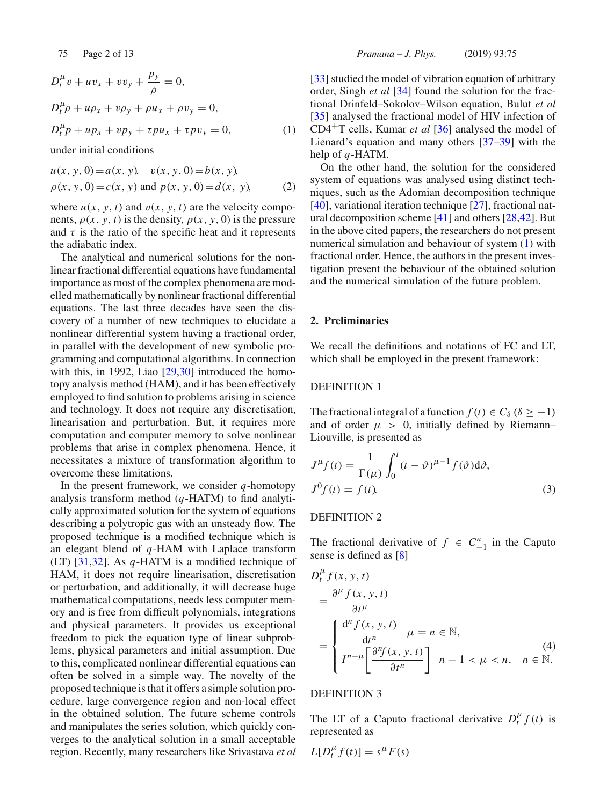$$
D_t^{\mu} v + u v_x + v v_y + \frac{p_y}{\rho} = 0,
$$
  
\n
$$
D_t^{\mu} \rho + u \rho_x + v \rho_y + \rho u_x + \rho v_y = 0,
$$
  
\n
$$
D_t^{\mu} p + u p_x + v p_y + \tau p u_x + \tau p v_y = 0,
$$
\n(1)

under initial conditions

$$
u(x, y, 0) = a(x, y), v(x, y, 0) = b(x, y),
$$
  
\n
$$
\rho(x, y, 0) = c(x, y) \text{ and } p(x, y, 0) = d(x, y),
$$
\n(2)

where  $u(x, y, t)$  and  $v(x, y, t)$  are the velocity components,  $\rho(x, y, t)$  is the density,  $p(x, y, 0)$  is the pressure and  $\tau$  is the ratio of the specific heat and it represents the adiabatic index.

The analytical and numerical solutions for the nonlinear fractional differential equations have fundamental importance as most of the complex phenomena are modelled mathematically by nonlinear fractional differential equations. The last three decades have seen the discovery of a number of new techniques to elucidate a nonlinear differential system having a fractional order, in parallel with the development of new symbolic programming and computational algorithms. In connection with this, in 1992, Liao [29,30] introduced the homotopy analysis method (HAM), and it has been effectively employed to find solution to problems arising in science and technology. It does not require any discretisation, linearisation and perturbation. But, it requires more computation and computer memory to solve nonlinear problems that arise in complex phenomena. Hence, it necessitates a mixture of transformation algorithm to overcome these limitations.

In the present framework, we consider *q*-homotopy analysis transform method (*q*-HATM) to find analytically approximated solution for the system of equations describing a polytropic gas with an unsteady flow. The proposed technique is a modified technique which is an elegant blend of *q*-HAM with Laplace transform (LT) [31,32]. As *q*-HATM is a modified technique of HAM, it does not require linearisation, discretisation or perturbation, and additionally, it will decrease huge mathematical computations, needs less computer memory and is free from difficult polynomials, integrations and physical parameters. It provides us exceptional freedom to pick the equation type of linear subproblems, physical parameters and initial assumption. Due to this, complicated nonlinear differential equations can often be solved in a simple way. The novelty of the proposed technique is that it offers a simple solution procedure, large convergence region and non-local effect in the obtained solution. The future scheme controls and manipulates the series solution, which quickly converges to the analytical solution in a small acceptable region. Recently, many researchers like Srivastava *et al* [33] studied the model of vibration equation of arbitrary order, Singh *et al* [34] found the solution for the fractional Drinfeld–Sokolov–Wilson equation, Bulut *et al* [35] analysed the fractional model of HIV infection of CD4+T cells, Kumar *et al* [36] analysed the model of Lienard's equation and many others [37–39] with the help of *q*-HATM.

On the other hand, the solution for the considered system of equations was analysed using distinct techniques, such as the Adomian decomposition technique [40], variational iteration technique [27], fractional natural decomposition scheme [41] and others [28,42]. But in the above cited papers, the researchers do not present numerical simulation and behaviour of system (1) with fractional order. Hence, the authors in the present investigation present the behaviour of the obtained solution and the numerical simulation of the future problem.

# **2. Preliminaries**

We recall the definitions and notations of FC and LT, which shall be employed in the present framework:

# DEFINITION 1

The fractional integral of a function  $f(t) \in C_\delta$  ( $\delta \ge -1$ ) and of order  $\mu > 0$ , initially defined by Riemann– Liouville, is presented as

$$
J^{\mu}f(t) = \frac{1}{\Gamma(\mu)} \int_0^t (t - \vartheta)^{\mu - 1} f(\vartheta) d\vartheta,
$$
  

$$
J^0 f(t) = f(t).
$$
 (3)

# DEFINITION 2

The fractional derivative of  $f \in C_{-1}^n$  in the Caputo sense is defined as [8]

$$
D_t^{\mu} f(x, y, t)
$$
  
= 
$$
\frac{\partial^{\mu} f(x, y, t)}{\partial t^{\mu}}
$$
  
= 
$$
\begin{cases} \frac{d^n f(x, y, t)}{dt^n} & \mu = n \in \mathbb{N}, \\ I^{n-\mu} \left[ \frac{\partial^n f(x, y, t)}{\partial t^n} \right] & n-1 < \mu < n, \quad n \in \mathbb{N}. \end{cases}
$$
 (4)

# DEFINITION 3

The LT of a Caputo fractional derivative  $D_t^{\mu} f(t)$  is represented as

$$
L[D_t^{\mu} f(t)] = s^{\mu} F(s)
$$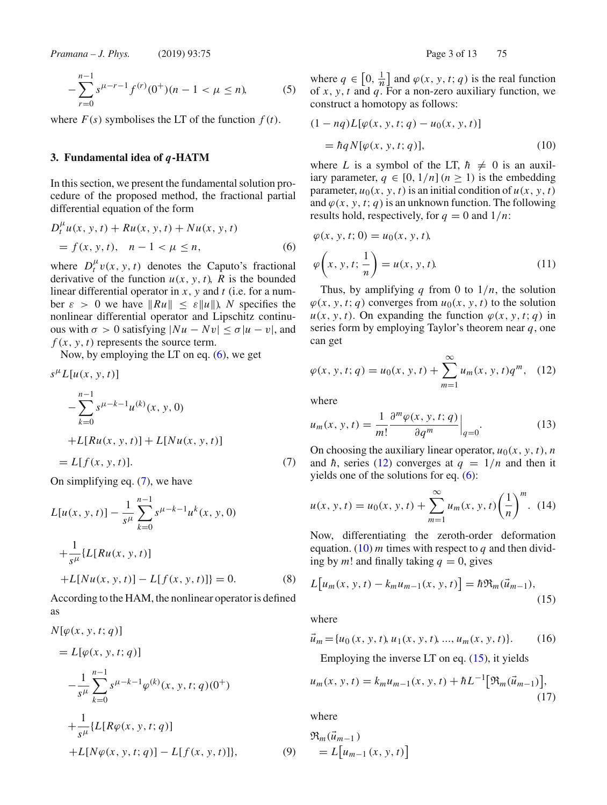$$
-\sum_{r=0}^{n-1} s^{\mu-r-1} f^{(r)}(0^+)(n-1 < \mu \le n),\tag{5}
$$

where  $F(s)$  symbolises the LT of the function  $f(t)$ .

### **3. Fundamental idea of** *q***-HATM**

*D*μ

In this section, we present the fundamental solution procedure of the proposed method, the fractional partial differential equation of the form

$$
D_t^{\mu} u(x, y, t) + R u(x, y, t) + N u(x, y, t)
$$
  
=  $f(x, y, t), \quad n - 1 < \mu \le n,$  (6)

where  $D_t^{\mu} v(x, y, t)$  denotes the Caputo's fractional derivative of the function  $u(x, y, t)$ , *R* is the bounded linear differential operator in *x*, *y* and *t* (i.e. for a number  $\varepsilon > 0$  we have  $||Ru|| \leq \varepsilon ||u||$ , *N* specifies the nonlinear differential operator and Lipschitz continuous with  $\sigma > 0$  satisfying  $|Nu - Nv| \le \sigma |u - v|$ , and  $f(x, y, t)$  represents the source term.

Now, by employing the LT on eq.  $(6)$ , we get

$$
s^{\mu}L[u(x, y, t)]
$$
  
\n
$$
-\sum_{k=0}^{n-1} s^{\mu-k-1}u^{(k)}(x, y, 0)
$$
  
\n
$$
+L[Ru(x, y, t)] + L[Nu(x, y, t)]
$$
  
\n
$$
= L[f(x, y, t)].
$$
\n(7)

On simplifying eq. (7), we have

$$
L[u(x, y, t)] - \frac{1}{s^{\mu}} \sum_{k=0}^{n-1} s^{\mu - k - 1} u^k(x, y, 0)
$$
  
+ 
$$
\frac{1}{s^{\mu}} \{L[Ru(x, y, t)]
$$
  
+ 
$$
L[Nu(x, y, t)] - L[f(x, y, t)]\} = 0.
$$
 (8)

According to the HAM, the nonlinear operator is defined as

$$
N[\varphi(x, y, t; q)]
$$
  
=  $L[\varphi(x, y, t; q)]$   

$$
-\frac{1}{s^{\mu}} \sum_{k=0}^{n-1} s^{\mu-k-1} \varphi^{(k)}(x, y, t; q)(0^+)
$$
  
+ 
$$
\frac{1}{s^{\mu}} \{L[R\varphi(x, y, t; q)]
$$
  
+  $L[N\varphi(x, y, t; q)] - L[f(x, y, t)]\},$  (9)

where  $q \in [0, \frac{1}{n}]$  and  $\varphi(x, y, t; q)$  is the real function of *x*, *y*, *t* and *q*. For a non-zero auxiliary function, we construct a homotopy as follows:

$$
(1 - nq)L[\varphi(x, y, t; q) - u_0(x, y, t)]
$$

$$
= \hbar q N[\varphi(x, y, t; q)], \qquad (10)
$$

where *L* is a symbol of the LT,  $\hbar \neq 0$  is an auxiliary parameter,  $q \in [0, 1/n]$  ( $n \ge 1$ ) is the embedding parameter,  $u_0(x, y, t)$  is an initial condition of  $u(x, y, t)$ and  $\varphi(x, y, t; q)$  is an unknown function. The following results hold, respectively, for  $q = 0$  and  $1/n$ :

$$
\varphi(x, y, t; 0) = u_0(x, y, t), \n\varphi\left(x, y, t; \frac{1}{n}\right) = u(x, y, t).
$$
\n(11)

Thus, by amplifying  $q$  from 0 to  $1/n$ , the solution  $\varphi(x, y, t; q)$  converges from  $u_0(x, y, t)$  to the solution  $u(x, y, t)$ . On expanding the function  $\varphi(x, y, t; q)$  in series form by employing Taylor's theorem near *q*, one can get

$$
\varphi(x, y, t; q) = u_0(x, y, t) + \sum_{m=1}^{\infty} u_m(x, y, t) q^m, \quad (12)
$$

where

$$
u_m(x, y, t) = \frac{1}{m!} \frac{\partial^m \varphi(x, y, t; q)}{\partial q^m} \Big|_{q=0}.
$$
 (13)

On choosing the auxiliary linear operator,  $u_0(x, y, t)$ , *n* and  $\hbar$ , series (12) converges at  $q = 1/n$  and then it yields one of the solutions for eq. (6):

$$
u(x, y, t) = u_0(x, y, t) + \sum_{m=1}^{\infty} u_m(x, y, t) \left(\frac{1}{n}\right)^m.
$$
 (14)

Now, differentiating the zeroth-order deformation equation.  $(10)$  *m* times with respect to *q* and then dividing by *m*! and finally taking  $q = 0$ , gives

$$
L[u_m(x, y, t) - k_m u_{m-1}(x, y, t)] = \hbar \mathfrak{R}_m(\vec{u}_{m-1}),
$$
\n(15)

where

$$
\vec{u}_m = \{u_0(x, y, t), u_1(x, y, t), ..., u_m(x, y, t)\}.
$$
 (16)

Employing the inverse LT on eq. (15), it yields

$$
u_m(x, y, t) = k_m u_{m-1}(x, y, t) + \hbar L^{-1} \big[ \mathfrak{R}_m(\vec{u}_{m-1}) \big],
$$
\n(17)

where

$$
\mathfrak{R}_m(\vec{u}_{m-1})
$$
  
=  $L[u_{m-1}(x, y, t)]$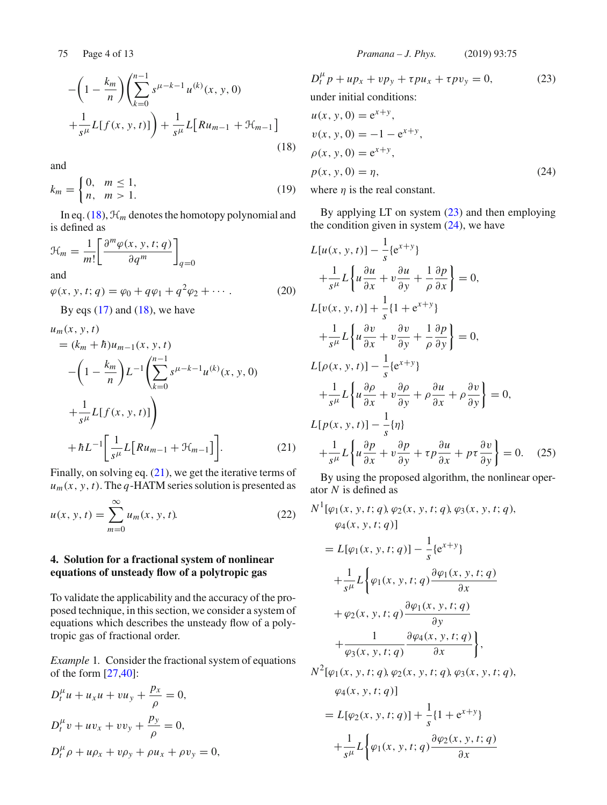$$
-\left(1 - \frac{k_m}{n}\right) \left(\sum_{k=0}^{n-1} s^{\mu-k-1} u^{(k)}(x, y, 0) + \frac{1}{s^{\mu}} L[f(x, y, t)]\right) + \frac{1}{s^{\mu}} L[Ru_{m-1} + \mathcal{H}_{m-1}]
$$
\n(18)

and

$$
k_m = \begin{cases} 0, & m \le 1, \\ n, & m > 1. \end{cases}
$$
 (19)

In eq.  $(18)$ ,  $\mathcal{H}_m$  denotes the homotopy polynomial and is defined as

$$
\mathcal{H}_m = \frac{1}{m!} \left[ \frac{\partial^m \varphi(x, y, t; q)}{\partial q^m} \right]_{q=0}
$$
  
and  

$$
\varphi(x, y, t; q) = \varphi_0 + q\varphi_1 + q^2\varphi_2 + \cdots
$$
 (20)

By eqs  $(17)$  and  $(18)$ , we have

$$
u_m(x, y, t)
$$
  
=  $(k_m + \hbar)u_{m-1}(x, y, t)$   

$$
- \left(1 - \frac{k_m}{n}\right)L^{-1} \left(\sum_{k=0}^{n-1} s^{\mu-k-1} u^{(k)}(x, y, 0) + \frac{1}{s^{\mu}} L[f(x, y, t)]\right)
$$
  

$$
+ \hbar L^{-1} \left[\frac{1}{s^{\mu}} L[Ru_{m-1} + \mathcal{H}_{m-1}]\right].
$$
 (21)

Finally, on solving eq. (21), we get the iterative terms of  $u_m(x, y, t)$ . The *q*-HATM series solution is presented as

$$
u(x, y, t) = \sum_{m=0}^{\infty} u_m(x, y, t).
$$
 (22)

# **4. Solution for a fractional system of nonlinear equations of unsteady flow of a polytropic gas**

To validate the applicability and the accuracy of the proposed technique, in this section, we consider a system of equations which describes the unsteady flow of a polytropic gas of fractional order.

*Example* 1*.* Consider the fractional system of equations of the form [27,40]:

$$
D_t^{\mu} u + u_x u + v u_y + \frac{p_x}{\rho} = 0,
$$
  
\n
$$
D_t^{\mu} v + u v_x + v v_y + \frac{p_y}{\rho} = 0,
$$
  
\n
$$
D_t^{\mu} \rho + u \rho_x + v \rho_y + \rho u_x + \rho v_y = 0,
$$

$$
D_t^{\mu} p + u p_x + v p_y + \tau p u_x + \tau p v_y = 0,
$$
 (23)  
under initial conditions:  

$$
u(x, y, 0) = e^{x+y},
$$

$$
v(x, y, 0) = -1 - e^{x+y},
$$

$$
\rho(x, y, 0) = e^{x+y},
$$

$$
p(x, y, 0) = \eta,
$$
 (24)

where  $\eta$  is the real constant.

By applying  $LT$  on system  $(23)$  and then employing the condition given in system  $(24)$ , we have

$$
L[u(x, y, t)] - \frac{1}{s} \{e^{x+y}\}\
$$
  
+  $\frac{1}{s^{\mu}} L\left\{u \frac{\partial u}{\partial x} + v \frac{\partial u}{\partial y} + \frac{1}{\rho} \frac{\partial p}{\partial x}\right\} = 0,$   

$$
L[v(x, y, t)] + \frac{1}{s} \{1 + e^{x+y}\}\
$$
  
+  $\frac{1}{s^{\mu}} L\left\{u \frac{\partial v}{\partial x} + v \frac{\partial v}{\partial y} + \frac{1}{\rho} \frac{\partial p}{\partial y}\right\} = 0,$   

$$
L[\rho(x, y, t)] - \frac{1}{s} \{e^{x+y}\}\
$$
  
+  $\frac{1}{s^{\mu}} L\left\{u \frac{\partial \rho}{\partial x} + v \frac{\partial \rho}{\partial y} + \rho \frac{\partial u}{\partial x} + \rho \frac{\partial v}{\partial y}\right\} = 0,$   

$$
L[p(x, y, t)] - \frac{1}{s} \{\eta\}
$$
  
+  $\frac{1}{s^{\mu}} L\left\{u \frac{\partial p}{\partial x} + v \frac{\partial p}{\partial y} + \tau p \frac{\partial u}{\partial x} + p \tau \frac{\partial v}{\partial y}\right\} = 0.$  (25)

By using the proposed algorithm, the nonlinear operator *N* is defined as

$$
N^{1}[\varphi_{1}(x, y, t; q), \varphi_{2}(x, y, t; q), \varphi_{3}(x, y, t; q),\n\varphi_{4}(x, y, t; q)]
$$
\n
$$
= L[\varphi_{1}(x, y, t; q)] - \frac{1}{s} \{e^{x+y}\}\n+ \frac{1}{s^{\mu}} L\left\{\varphi_{1}(x, y, t; q) \frac{\partial \varphi_{1}(x, y, t; q)}{\partial x}\n+ \varphi_{2}(x, y, t; q) \frac{\partial \varphi_{1}(x, y, t; q)}{\partial y}\n+ \frac{1}{\varphi_{3}(x, y, t; q)} \frac{\partial \varphi_{4}(x, y, t; q)}{\partial x}\right\},\nN^{2}[\varphi_{1}(x, y, t; q), \varphi_{2}(x, y, t; q), \varphi_{3}(x, y, t; q),\n\varphi_{4}(x, y, t; q)]
$$
\n
$$
= L[\varphi_{2}(x, y, t; q)] + \frac{1}{s} \{1 + e^{x+y}\}
$$

$$
+\frac{1}{s^{\mu}}L\bigg\{\varphi_1(x, y, t; q)\frac{\partial\varphi_2(x, y, t; q)}{\partial x}
$$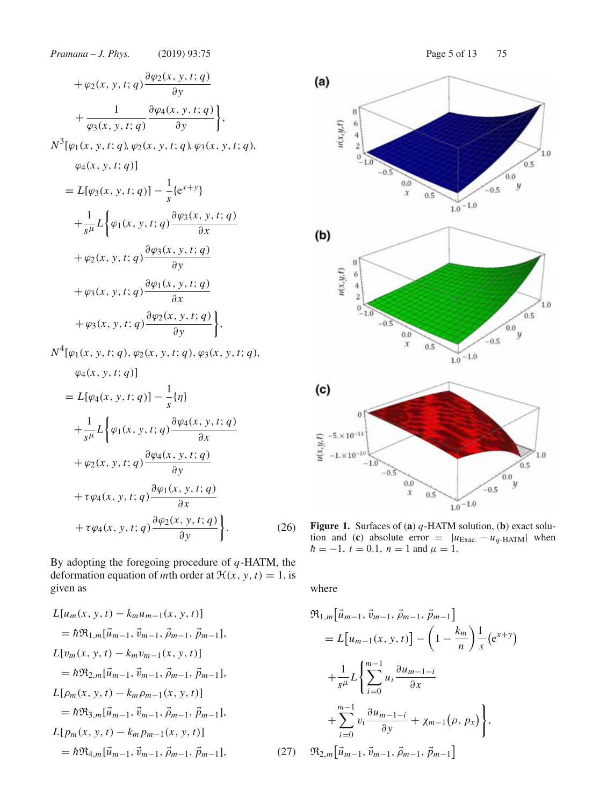*Pramana – J. Phys.* (2019) 93:75 Page 5 of 13 75  $+\varphi_2(x, y, t; q)\frac{\partial \varphi_2(x, y, t; q)}{\partial y}$ ∂*y*  $^{+}$ 1 ϕ3(*x*, *y*, *t*; *q*)  $\frac{\partial \varphi_4(x, y, t; q)}{\partial \varphi_4(x, y, t; q)}$ ∂*y*  $\bigg\}$ ,  $N^3[\varphi_1(x, y, t; q), \varphi_2(x, y, t; q), \varphi_3(x, y, t; q),$  $\varphi_4(x, y, t; q)$  $= L[\varphi_3(x, y, t; q)] - \frac{1}{s} \{e^{x+y}\}\$  $^{+}$ 1  $\frac{1}{s^{\mu}}L\bigg\{\varphi_1(x, y, t; q)\frac{\partial \varphi_3(x, y, t; q)}{\partial x}\bigg\}$ ∂*x*  $+\varphi_2(x, y, t; q)\frac{\partial \varphi_3(x, y, t; q)}{\partial y}$ ∂*y*  $+\varphi_3(x, y, t; q)\frac{\partial \varphi_1(x, y, t; q)}{\partial x}$ ∂*x*  $+\varphi_3(x, y, t; q) \frac{\partial \varphi_2(x, y, t; q)}{\partial y}$ ∂*y*  $\big\}$ ,  $N^4[\varphi_1(x, y, t; q), \varphi_2(x, y, t; q), \varphi_3(x, y, t; q),$  $\varphi_4(x, y, t; q)$  $= L[\varphi_4(x, y, t; q)] - \frac{1}{s} \{\eta\}$  $^{+}$ 1  $\frac{1}{s^{\mu}}L\bigg\{\varphi_1(x, y, t; q)\frac{\partial \varphi_4(x, y, t; q)}{\partial x}\bigg\}$ ∂*x*  $+\varphi_2(x, y, t; q)\frac{\partial \varphi_4(x, y, t; q)}{\partial y}$ ∂*y*  $+\tau \varphi_4(x, y, t; q) \frac{\partial \varphi_1(x, y, t; q)}{\partial x}$ ∂*x*  $+\tau \varphi_4(x, y, t; q) \frac{\partial \varphi_2(x, y, t; q)}{\partial y}$ ∂*y*  $\mathbf{I}$  $(26)$ 

By adopting the foregoing procedure of *q*-HATM, the deformation equation of *m*th order at  $\mathcal{H}(x, y, t) = 1$ , is given as

$$
L[u_m(x, y, t) - k_m u_{m-1}(x, y, t)]
$$
  
\n
$$
= \hbar \mathfrak{R}_{1,m}[\vec{u}_{m-1}, \vec{v}_{m-1}, \vec{\rho}_{m-1}, \vec{p}_{m-1}],
$$
  
\n
$$
L[v_m(x, y, t) - k_m v_{m-1}(x, y, t)]
$$
  
\n
$$
= \hbar \mathfrak{R}_{2,m}[\vec{u}_{m-1}, \vec{v}_{m-1}, \vec{\rho}_{m-1}, \vec{p}_{m-1}],
$$
  
\n
$$
L[\rho_m(x, y, t) - k_m \rho_{m-1}(x, y, t)]
$$
  
\n
$$
= \hbar \mathfrak{R}_{3,m}[\vec{u}_{m-1}, \vec{v}_{m-1}, \vec{\rho}_{m-1}, \vec{p}_{m-1}],
$$
  
\n
$$
L[p_m(x, y, t) - k_m p_{m-1}(x, y, t)]
$$
  
\n
$$
= \hbar \mathfrak{R}_{4,m}[\vec{u}_{m-1}, \vec{v}_{m-1}, \vec{\rho}_{m-1}, \vec{p}_{m-1}],
$$
  
\n(27)





**Figure 1.** Surfaces of (**a**) *q*-HATM solution, (**b**) exact solution and (**c**) absolute error =  $|u_{\text{Exac.}} - u_q$ -HATM| when  $\hbar = -1$ ,  $t = 0.1$ ,  $n = 1$  and  $\mu = 1$ .

where

$$
\mathfrak{R}_{1,m}[\vec{u}_{m-1}, \vec{v}_{m-1}, \vec{\rho}_{m-1}, \vec{p}_{m-1}]
$$
\n
$$
= L[u_{m-1}(x, y, t)] - \left(1 - \frac{k_m}{n}\right) \frac{1}{s} (e^{x+y})
$$
\n
$$
+ \frac{1}{s^{\mu}} L\left\{\sum_{i=0}^{m-1} u_i \frac{\partial u_{m-1-i}}{\partial x} + \sum_{i=0}^{m-1} v_i \frac{\partial u_{m-1-i}}{\partial y} + \chi_{m-1}(\rho, p_x)\right\},\
$$
\n
$$
\mathfrak{R}_{2,m}[\vec{u}_{m-1}, \vec{v}_{m-1}, \vec{\rho}_{m-1}, \vec{p}_{m-1}]
$$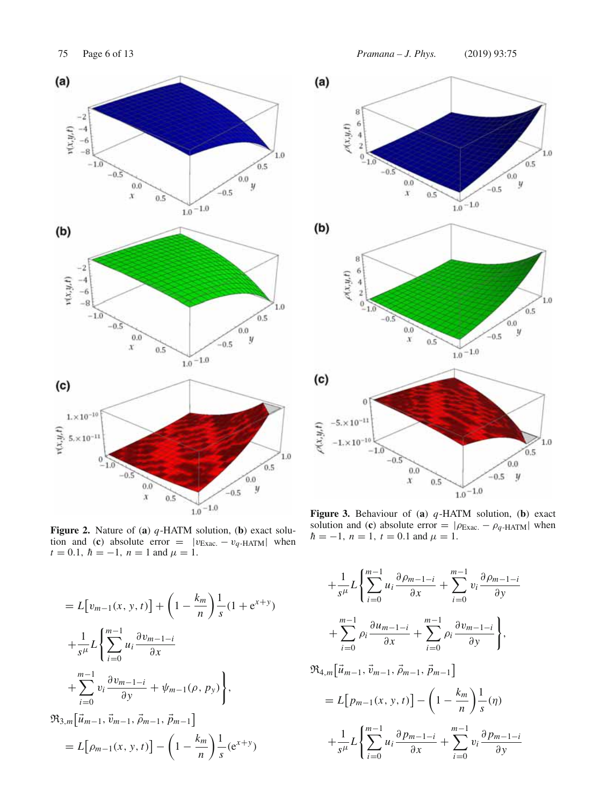

**Figure 2.** Nature of (**a**) *q*-HATM solution, (**b**) exact solution and (**c**) absolute error =  $|v_{\text{Exac.}} - v_{q\text{-HATM}}|$  when  $t = 0.1$ ,  $\hbar = -1$ ,  $n = 1$  and  $\mu = 1$ .

$$
= L[v_{m-1}(x, y, t)] + \left(1 - \frac{k_m}{n}\right) \frac{1}{s} (1 + e^{x+y})
$$
  
+ 
$$
\frac{1}{s^{\mu}} L\left\{\sum_{i=0}^{m-1} u_i \frac{\partial v_{m-1-i}}{\partial x} + \sum_{i=0}^{m-1} v_i \frac{\partial v_{m-1-i}}{\partial y} + \psi_{m-1}(\rho, p_y)\right\},\newline
$$
  

$$
\Re_{3,m}[\vec{u}_{m-1}, \vec{v}_{m-1}, \vec{\rho}_{m-1}, \vec{p}_{m-1}]
$$
  
= 
$$
L[\rho_{m-1}(x, y, t)] - \left(1 - \frac{k_m}{n}\right) \frac{1}{s} (e^{x+y})
$$

75 Page 6 of 13 *Pramana – J. Phys.* (2019) 93:75



**Figure 3.** Behaviour of (**a**) *q*-HATM solution, (**b**) exact solution and (**c**) absolute error =  $|\rho_{\text{Exact}} - \rho_q\text{-HATM}|$  when  $\hbar = -1$ ,  $n = 1$ ,  $t = 0.1$  and  $\mu = 1$ .

$$
+\frac{1}{s^{\mu}}L\left\{\sum_{i=0}^{m-1}u_{i}\frac{\partial \rho_{m-1-i}}{\partial x} + \sum_{i=0}^{m-1}v_{i}\frac{\partial \rho_{m-1-i}}{\partial y} + \sum_{i=0}^{m-1}\rho_{i}\frac{\partial u_{m-1-i}}{\partial x} + \sum_{i=0}^{m-1}\rho_{i}\frac{\partial v_{m-1-i}}{\partial y}\right\},\newline
$$
  
\n
$$
\Re_{4,m}[\vec{u}_{m-1}, \vec{v}_{m-1}, \vec{\rho}_{m-1}, \vec{p}_{m-1}]
$$
  
\n
$$
=L[p_{m-1}(x, y, t)] - \left(1 - \frac{k_{m}}{n}\right)\frac{1}{s}(\eta)
$$
  
\n
$$
+\frac{1}{s^{\mu}}L\left\{\sum_{i=0}^{m-1}u_{i}\frac{\partial p_{m-1-i}}{\partial x} + \sum_{i=0}^{m-1}v_{i}\frac{\partial p_{m-1-i}}{\partial y}\right\}
$$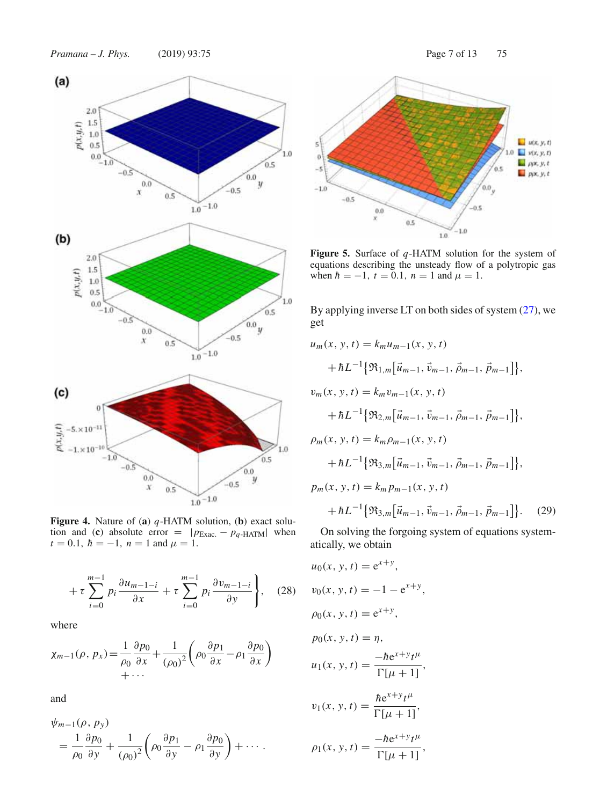

**Figure 4.** Nature of (**a**) *q*-HATM solution, (**b**) exact solution and (**c**) absolute error =  $|p_{\text{Exact}} - p_q$ -HATM| when  $t = 0.1$ ,  $\hbar = -1$ ,  $n = 1$  and  $\mu = 1$ .

$$
+\tau \sum_{i=0}^{m-1} p_i \frac{\partial u_{m-1-i}}{\partial x} + \tau \sum_{i=0}^{m-1} p_i \frac{\partial v_{m-1-i}}{\partial y} \bigg\}, \quad (28)
$$

where

$$
\chi_{m-1}(\rho, p_x) = \frac{1}{\rho_0} \frac{\partial p_0}{\partial x} + \frac{1}{(\rho_0)^2} \left( \rho_0 \frac{\partial p_1}{\partial x} - \rho_1 \frac{\partial p_0}{\partial x} \right) + \cdots
$$

and

$$
\psi_{m-1}(\rho, p_y) = \frac{1}{\rho_0} \frac{\partial p_0}{\partial y} + \frac{1}{(\rho_0)^2} \left( \rho_0 \frac{\partial p_1}{\partial y} - \rho_1 \frac{\partial p_0}{\partial y} \right) + \cdots
$$



**Figure 5.** Surface of *q*-HATM solution for the system of equations describing the unsteady flow of a polytropic gas when  $\hbar = -1$ ,  $t = 0.1$ ,  $n = 1$  and  $\mu = 1$ .

By applying inverse LT on both sides of system  $(27)$ , we get

$$
u_m(x, y, t) = k_m u_{m-1}(x, y, t)
$$
  
+  $\hbar L^{-1} \{\mathfrak{R}_{1,m}[\vec{u}_{m-1}, \vec{v}_{m-1}, \vec{\rho}_{m-1}, \vec{p}_{m-1}]\},$   

$$
v_m(x, y, t) = k_m v_{m-1}(x, y, t)
$$
  
+  $\hbar L^{-1} \{\mathfrak{R}_{2,m}[\vec{u}_{m-1}, \vec{v}_{m-1}, \vec{\rho}_{m-1}, \vec{p}_{m-1}]\},$   

$$
\rho_m(x, y, t) = k_m \rho_{m-1}(x, y, t)
$$
  
+  $\hbar L^{-1} \{\mathfrak{R}_{3,m}[\vec{u}_{m-1}, \vec{v}_{m-1}, \vec{\rho}_{m-1}, \vec{p}_{m-1}]\},$   

$$
p_m(x, y, t) = k_m p_{m-1}(x, y, t)
$$
  
+  $\hbar L^{-1} \{\mathfrak{R}_{3,m}[\vec{u}_{m-1}, \vec{v}_{m-1}, \vec{\rho}_{m-1}, \vec{p}_{m-1}]\}.$  (29)

On solving the forgoing system of equations systematically, we obtain

 $u_0(x, y, t) = e^{x+y}$ ,  $v_0(x, y, t) = -1 - e^{x+y}$ ,  $\rho_0(x, y, t) = e^{x+y}$ ,  $p_0(x, y, t) = \eta$ ,  $u_1(x, y, t) = \frac{-\hbar e^{x+y} t^{\mu}}{\Gamma[\mu + 1]},$  $v_1(x, y, t) = \frac{\hbar e^{x+y} t^{\mu}}{\Gamma[\mu + 1]},$  $\rho_1(x, y, t) = \frac{-\hbar e^{x+y} t^{\mu}}{\Gamma[\mu + 1]},$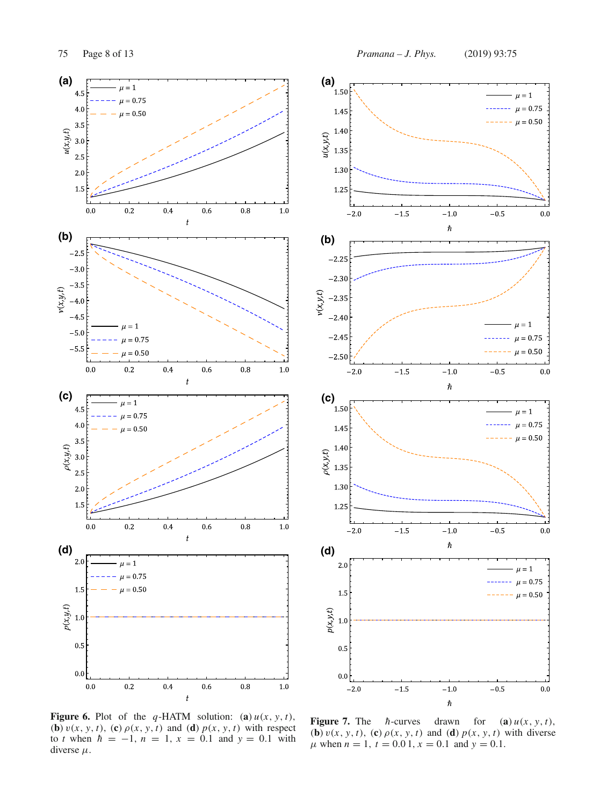$(a)$ <sub>1.50</sub>

1.45

 $\mu = 1$ 

 $\mu = 0.75$ 





**Figure 6.** Plot of the *q*-HATM solution: (a)  $u(x, y, t)$ , (**b**)  $v(x, y, t)$ , (**c**)  $\rho(x, y, t)$  and (**d**)  $p(x, y, t)$  with respect to *t* when  $\hbar = -1$ ,  $n = 1$ ,  $x = 0.1$  and  $y = 0.1$  with diverse  $\mu$ .

**Figure 7.** The  $\hbar$ -curves drawn for (**a**)  $u(x, y, t)$ ,<br>(**b**)  $v(x, y, t)$ , (**c**)  $\rho(x, y, t)$  and (**d**)  $p(x, y, t)$  with diverse  $\mu$  when  $n = 1$ ,  $t = 0.01$ ,  $x = 0.1$  and  $y = 0.1$ .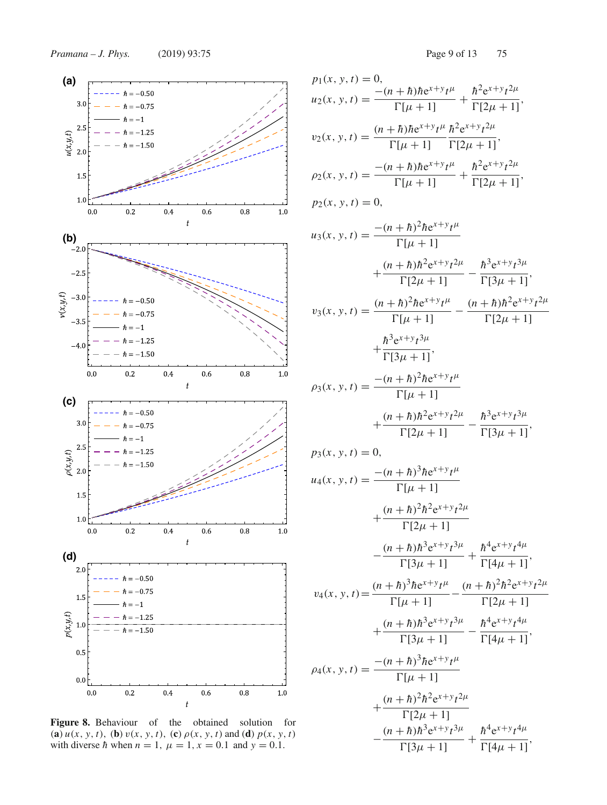

**Figure 8.** Behaviour of the obtained solution for (**a**)  $u(x, y, t)$ , (**b**)  $v(x, y, t)$ , (**c**)  $\rho(x, y, t)$  and (**d**)  $p(x, y, t)$ with diverse *h* when  $n = 1$ ,  $\mu = 1$ ,  $x = 0.1$  and  $y = 0.1$ .

$$
p_1(x, y, t) = 0,
$$
  
\n
$$
u_2(x, y, t) = \frac{-(n + h)he^{x+y}t^{\mu}}{\Gamma[\mu + 1]} + \frac{h^2e^{x+y}t^{2\mu}}{\Gamma[2\mu + 1]},
$$
  
\n
$$
v_2(x, y, t) = \frac{(n + h)he^{x+y}t^{\mu}}{\Gamma[\mu + 1]} + \frac{h^2e^{x+y}t^{2\mu}}{\Gamma[2\mu + 1]},
$$
  
\n
$$
\rho_2(x, y, t) = \frac{-(n + h)he^{x+y}t^{\mu}}{\Gamma[\mu + 1]} + \frac{h^2e^{x+y}t^{2\mu}}{\Gamma[2\mu + 1]},
$$
  
\n
$$
p_2(x, y, t) = 0,
$$
  
\n
$$
u_3(x, y, t) = \frac{-(n + h)^2he^{x+y}t^{\mu}}{\Gamma[\mu + 1]} - \frac{h^3e^{x+y}t^{3\mu}}{\Gamma[3\mu + 1]},
$$
  
\n
$$
v_3(x, y, t) = \frac{(n + h)^2he^{x+y}t^{\mu}}{\Gamma[\mu + 1]} - \frac{(n + h)h^2e^{x+y}t^{2\mu}}{\Gamma[2\mu + 1]} + \frac{h^3e^{x+y}t^{3\mu}}{\Gamma[3\mu + 1]},
$$
  
\n
$$
\rho_3(x, y, t) = \frac{-(n + h)^2he^{x+y}t^{\mu}}{\Gamma[\mu + 1]}
$$
  
\n
$$
+ \frac{(n + h)h^2e^{x+y}t^{2\mu}}{\Gamma[2\mu + 1]} - \frac{h^3e^{x+y}t^{3\mu}}{\Gamma[3\mu + 1]},
$$
  
\n
$$
p_3(x, y, t) = 0,
$$
  
\n
$$
u_4(x, y, t) = \frac{-(n + h)^3he^{x+y}t^{\mu}}{\Gamma[\mu + 1]}
$$
  
\n
$$
+ \frac{(n + h)^2h^2e^{x+y}t^{2\mu}}{\Gamma[2\mu + 1]} - \frac{h^4e^{x+y}t^{4\mu}}{\Gamma[3\mu + 1]},
$$
  
\n
$$
v_4(x, y, t) = \frac{(n + h)^3he^{x+y}t^{\mu}}{\Gamma[\mu +
$$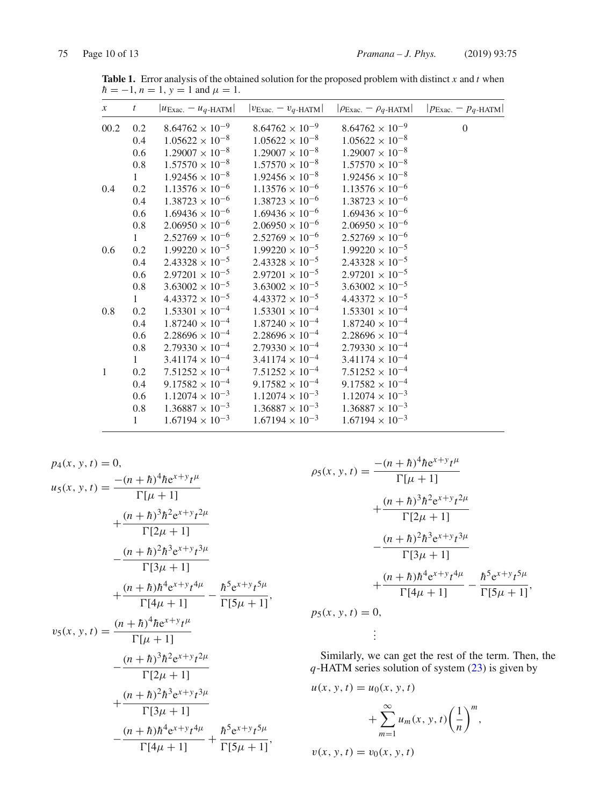| $\mathcal{X}$ | t            | $ u_{\text{Exac.}} - u_q$ -HATM | $ v_{\text{Exac.}} - v_{q\text{-HATM}} $ | $ \rho_{\text{Exac.}} - \rho_q\text{-HATM} $ | $ p_{\text{Exac.}} - p_q$ -HATM |
|---------------|--------------|---------------------------------|------------------------------------------|----------------------------------------------|---------------------------------|
| 00.2          | 0.2          | $8.64762 \times 10^{-9}$        | $8.64762 \times 10^{-9}$                 | $8.64762 \times 10^{-9}$                     | $\boldsymbol{0}$                |
|               | 0.4          | $1.05622 \times 10^{-8}$        | $1.05622 \times 10^{-8}$                 | $1.05622 \times 10^{-8}$                     |                                 |
|               | 0.6          | $1.29007 \times 10^{-8}$        | $1.29007 \times 10^{-8}$                 | $1.29007 \times 10^{-8}$                     |                                 |
|               | 0.8          | $1.57570 \times 10^{-8}$        | $1.57570 \times 10^{-8}$                 | $1.57570 \times 10^{-8}$                     |                                 |
|               | 1            | $1.92456 \times 10^{-8}$        | $1.92456 \times 10^{-8}$                 | $1.92456 \times 10^{-8}$                     |                                 |
| 0.4           | 0.2          | $1.13576 \times 10^{-6}$        | $1.13576 \times 10^{-6}$                 | $1.13576 \times 10^{-6}$                     |                                 |
|               | 0.4          | $1.38723 \times 10^{-6}$        | $1.38723 \times 10^{-6}$                 | $1.38723 \times 10^{-6}$                     |                                 |
|               | 0.6          | $1.69436 \times 10^{-6}$        | $1.69436 \times 10^{-6}$                 | $1.69436 \times 10^{-6}$                     |                                 |
|               | $0.8\,$      | $2.06950 \times 10^{-6}$        | $2.06950 \times 10^{-6}$                 | $2.06950 \times 10^{-6}$                     |                                 |
|               | $\mathbf{1}$ | $2.52769 \times 10^{-6}$        | $2.52769 \times 10^{-6}$                 | $2.52769 \times 10^{-6}$                     |                                 |
| 0.6           | 0.2          | $1.99220 \times 10^{-5}$        | $1.99220 \times 10^{-5}$                 | $1.99220 \times 10^{-5}$                     |                                 |
|               | 0.4          | $2.43328 \times 10^{-5}$        | $2.43328 \times 10^{-5}$                 | $2.43328 \times 10^{-5}$                     |                                 |
|               | 0.6          | $2.97201 \times 10^{-5}$        | $2.97201 \times 10^{-5}$                 | $2.97201 \times 10^{-5}$                     |                                 |
|               | 0.8          | $3.63002 \times 10^{-5}$        | $3.63002 \times 10^{-5}$                 | $3.63002 \times 10^{-5}$                     |                                 |
|               | $\mathbf{1}$ | $4.43372 \times 10^{-5}$        | $4.43372 \times 10^{-5}$                 | $4.43372 \times 10^{-5}$                     |                                 |
| 0.8           | 0.2          | $1.53301 \times 10^{-4}$        | $1.53301 \times 10^{-4}$                 | $1.53301 \times 10^{-4}$                     |                                 |
|               | 0.4          | $1.87240 \times 10^{-4}$        | $1.87240 \times 10^{-4}$                 | $1.87240 \times 10^{-4}$                     |                                 |
|               | 0.6          | $2.28696 \times 10^{-4}$        | $2.28696 \times 10^{-4}$                 | $2.28696 \times 10^{-4}$                     |                                 |
|               | 0.8          | $2.79330 \times 10^{-4}$        | $2.79330 \times 10^{-4}$                 | $2.79330 \times 10^{-4}$                     |                                 |
|               | 1            | $3.41174 \times 10^{-4}$        | $3.41174 \times 10^{-4}$                 | $3.41174 \times 10^{-4}$                     |                                 |
| $\mathbf{1}$  | 0.2          | $7.51252 \times 10^{-4}$        | $7.51252 \times 10^{-4}$                 | $7.51252 \times 10^{-4}$                     |                                 |
|               | 0.4          | $9.17582 \times 10^{-4}$        | $9.17582 \times 10^{-4}$                 | $9.17582 \times 10^{-4}$                     |                                 |
|               | 0.6          | $1.12074 \times 10^{-3}$        | $1.12074 \times 10^{-3}$                 | $1.12074 \times 10^{-3}$                     |                                 |
|               | 0.8          | $1.36887 \times 10^{-3}$        | $1.36887 \times 10^{-3}$                 | $1.36887 \times 10^{-3}$                     |                                 |
|               | $\mathbf{1}$ | $1.67194 \times 10^{-3}$        | $1.67194 \times 10^{-3}$                 | $1.67194 \times 10^{-3}$                     |                                 |

**Table 1.** Error analysis of the obtained solution for the proposed problem with distinct *x* and *t* when  $h = -1, n = 1, y = 1$  and  $\mu = 1$ .

$$
p_{4}(x, y, t) = 0,
$$
  
\n
$$
u_{5}(x, y, t) = \frac{-(n+h)^{4} \hbar e^{x+y} t^{\mu}}{\Gamma[\mu + 1]}
$$
  
\n
$$
+ \frac{(n+h)^{3} \hbar^{2} e^{x+y} t^{2\mu}}{\Gamma[2\mu + 1]}
$$
  
\n
$$
- \frac{(n+h)^{2} \hbar^{3} e^{x+y} t^{3\mu}}{\Gamma[3\mu + 1]}
$$
  
\n
$$
+ \frac{(n+h)\hbar^{4} e^{x+y} t^{4\mu}}{\Gamma[4\mu + 1]} - \frac{\hbar^{5} e^{x+y} t^{5\mu}}{\Gamma[5\mu + 1]},
$$
  
\n
$$
v_{5}(x, y, t) = \frac{(n+h)^{4} \hbar e^{x+y} t^{\mu}}{\Gamma[\mu + 1]}
$$
  
\n
$$
- \frac{(n+h)^{3} \hbar^{2} e^{x+y} t^{2\mu}}{\Gamma[2\mu + 1]}
$$
  
\n
$$
+ \frac{(n+h)^{2} \hbar^{3} e^{x+y} t^{3\mu}}{\Gamma[3\mu + 1]}
$$
  
\n
$$
- \frac{(n+h)\hbar^{4} e^{x+y} t^{4\mu}}{\Gamma[4\mu + 1]} + \frac{\hbar^{5} e^{x+y} t^{5\mu}}{\Gamma[5\mu + 1]},
$$

$$
\rho_5(x, y, t) = \frac{-(n+h)^4 \hbar e^{x+y} t^{\mu}}{\Gamma[\mu + 1]}
$$
  
+ 
$$
\frac{(n+h)^3 \hbar^2 e^{x+y} t^{2\mu}}{\Gamma[2\mu + 1]}
$$
  
- 
$$
\frac{(n+h)^2 \hbar^3 e^{x+y} t^{3\mu}}{\Gamma[3\mu + 1]}
$$
  
+ 
$$
\frac{(n+h)\hbar^4 e^{x+y} t^{4\mu}}{\Gamma[4\mu + 1]} - \frac{\hbar^5 e^{x+y} t^{5\mu}}{\Gamma[5\mu + 1]}
$$
  

$$
p_5(x, y, t) = 0,
$$
  

$$
\vdots
$$

Similarly, we can get the rest of the term. Then, the *q*-HATM series solution of system (23) is given by

,

$$
u(x, y, t) = u_0(x, y, t)
$$
  
+ 
$$
\sum_{m=1}^{\infty} u_m(x, y, t) \left(\frac{1}{n}\right)^m,
$$
  

$$
v(x, y, t) = v_0(x, y, t)
$$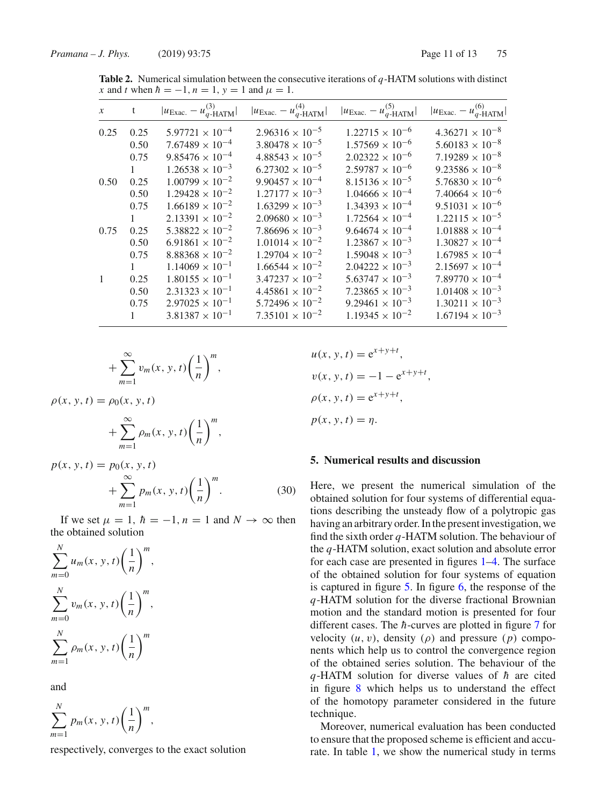| $\mathcal{X}$ | t            | $ u_{\text{Exac.}} - u_{q\text{-HATM}}^{(3)} $ | $ u_{\text{Exac.}} - u_{q\text{-HATM}}^{(4)} $ | $ u_{\text{Exac.}} - u_{q\text{-HATM}}^{(5)} $ | $ u_{\text{Exac.}} - u_{q\text{-HATM}}^{(6)} $ |
|---------------|--------------|------------------------------------------------|------------------------------------------------|------------------------------------------------|------------------------------------------------|
| 0.25          | 0.25         | $5.97721 \times 10^{-4}$                       | $2.96316 \times 10^{-5}$                       | $1.22715 \times 10^{-6}$                       | $4.36271 \times 10^{-8}$                       |
|               | 0.50         | $7.67489 \times 10^{-4}$                       | $3.80478 \times 10^{-5}$                       | $1.57569 \times 10^{-6}$                       | $5.60183 \times 10^{-8}$                       |
|               | 0.75         | $9.85476 \times 10^{-4}$                       | $4.88543 \times 10^{-5}$                       | $2.02322 \times 10^{-6}$                       | $7.19289 \times 10^{-8}$                       |
|               | 1            | $1.26538 \times 10^{-3}$                       | $6.27302 \times 10^{-5}$                       | $2.59787 \times 10^{-6}$                       | $9.23586 \times 10^{-8}$                       |
| 0.50          | 0.25         | $1.00799 \times 10^{-2}$                       | $9.90457 \times 10^{-4}$                       | $8.15136 \times 10^{-5}$                       | $5.76830 \times 10^{-6}$                       |
|               | 0.50         | $1.29428 \times 10^{-2}$                       | $1.27177 \times 10^{-3}$                       | $1.04666 \times 10^{-4}$                       | $7.40664 \times 10^{-6}$                       |
|               | 0.75         | $1.66189 \times 10^{-2}$                       | $1.63299 \times 10^{-3}$                       | $1.34393 \times 10^{-4}$                       | $9.51031 \times 10^{-6}$                       |
|               | 1            | $2.13391 \times 10^{-2}$                       | $2.09680 \times 10^{-3}$                       | $1.72564 \times 10^{-4}$                       | $1.22115 \times 10^{-5}$                       |
| 0.75          | 0.25         | $5.38822 \times 10^{-2}$                       | $7.86696 \times 10^{-3}$                       | $9.64674 \times 10^{-4}$                       | $1.01888 \times 10^{-4}$                       |
|               | 0.50         | $6.91861 \times 10^{-2}$                       | $1.01014 \times 10^{-2}$                       | $1.23867 \times 10^{-3}$                       | $1.30827 \times 10^{-4}$                       |
|               | 0.75         | $8.88368 \times 10^{-2}$                       | $1.29704 \times 10^{-2}$                       | $1.59048 \times 10^{-3}$                       | $1.67985 \times 10^{-4}$                       |
|               | $\mathbf{1}$ | $1.14069 \times 10^{-1}$                       | $1.66544 \times 10^{-2}$                       | $2.04222 \times 10^{-3}$                       | $2.15697 \times 10^{-4}$                       |
|               | 0.25         | $1.80155 \times 10^{-1}$                       | $3.47237 \times 10^{-2}$                       | $5.63747 \times 10^{-3}$                       | $7.89770 \times 10^{-4}$                       |
|               | 0.50         | $2.31323 \times 10^{-1}$                       | $4.45861 \times 10^{-2}$                       | $7.23865 \times 10^{-3}$                       | $1.01408 \times 10^{-3}$                       |
|               | 0.75         | $2.97025 \times 10^{-1}$                       | $5.72496 \times 10^{-2}$                       | $9.29461 \times 10^{-3}$                       | $1.30211 \times 10^{-3}$                       |
|               | $\mathbf{1}$ | $3.81387 \times 10^{-1}$                       | $7.35101 \times 10^{-2}$                       | $1.19345 \times 10^{-2}$                       | $1.67194 \times 10^{-3}$                       |

**Table 2.** Numerical simulation between the consecutive iterations of *q*-HATM solutions with distinct *x* and *t* when  $\hbar = -1$ ,  $n = 1$ ,  $y = 1$  and  $\mu = 1$ .

$$
+\sum_{m=1}^{\infty}v_m(x, y, t)\left(\frac{1}{n}\right)^m,
$$

 $\rho(x, y, t) = \rho_0(x, y, t)$ 

$$
+\sum_{m=1}^{\infty}\rho_m(x, y, t)\left(\frac{1}{n}\right)^m,
$$

$$
p(x, y, t) = p_0(x, y, t) + \sum_{m=1}^{\infty} p_m(x, y, t) \left(\frac{1}{n}\right)^m.
$$
 (30)

If we set  $\mu = 1$ ,  $\hbar = -1$ ,  $n = 1$  and  $N \rightarrow \infty$  then the obtained solution

$$
\sum_{m=0}^{N} u_m(x, y, t) \left(\frac{1}{n}\right)^m,
$$
  

$$
\sum_{m=0}^{N} v_m(x, y, t) \left(\frac{1}{n}\right)^m,
$$
  

$$
\sum_{m=1}^{N} \rho_m(x, y, t) \left(\frac{1}{n}\right)^m
$$

and

$$
\sum_{m=1}^N p_m(x, y, t) \left(\frac{1}{n}\right)^m,
$$

respectively, converges to the exact solution

 $u(x, y, t) = e^{x+y+t}$ ,  $v(x, y, t) = -1 - e^{x+y+t}$  $\rho(x, y, t) = e^{x+y+t}$ ,  $p(x, y, t) = \eta$ .

# **5. Numerical results and discussion**

Here, we present the numerical simulation of the obtained solution for four systems of differential equations describing the unsteady flow of a polytropic gas having an arbitrary order. In the present investigation, we find the sixth order *q*-HATM solution. The behaviour of the *q*-HATM solution, exact solution and absolute error for each case are presented in figures 1–4. The surface of the obtained solution for four systems of equation is captured in figure 5. In figure 6, the response of the *q*-HATM solution for the diverse fractional Brownian motion and the standard motion is presented for four different cases. The *h*-curves are plotted in figure 7 for velocity  $(u, v)$ , density  $(\rho)$  and pressure  $(p)$  components which help us to control the convergence region of the obtained series solution. The behaviour of the  $q$ -HATM solution for diverse values of  $h$  are cited in figure 8 which helps us to understand the effect of the homotopy parameter considered in the future technique.

Moreover, numerical evaluation has been conducted to ensure that the proposed scheme is efficient and accurate. In table 1, we show the numerical study in terms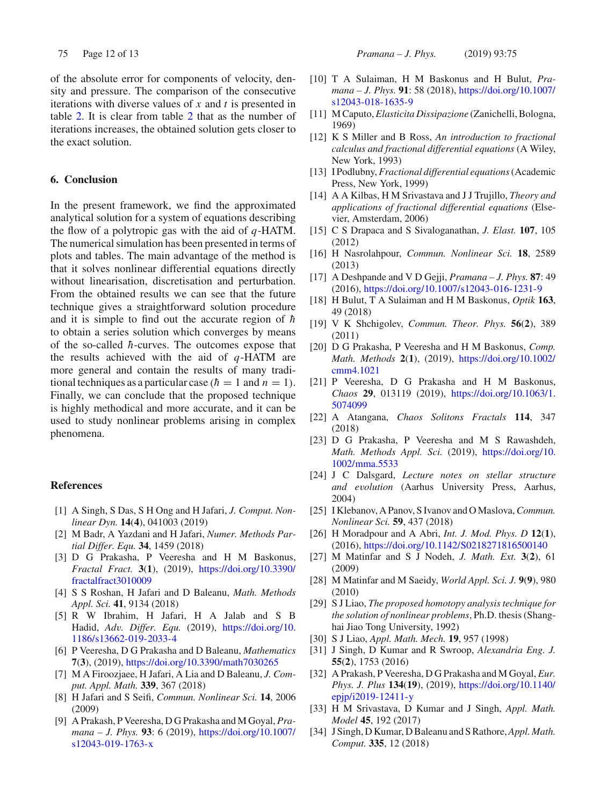of the absolute error for components of velocity, density and pressure. The comparison of the consecutive iterations with diverse values of *x* and *t* is presented in table 2. It is clear from table 2 that as the number of iterations increases, the obtained solution gets closer to the exact solution.

# **6. Conclusion**

In the present framework, we find the approximated analytical solution for a system of equations describing the flow of a polytropic gas with the aid of *q*-HATM. The numerical simulation has been presented in terms of plots and tables. The main advantage of the method is that it solves nonlinear differential equations directly without linearisation, discretisation and perturbation. From the obtained results we can see that the future technique gives a straightforward solution procedure and it is simple to find out the accurate region of  $\hbar$ to obtain a series solution which converges by means of the so-called  $\hbar$ -curves. The outcomes expose that the results achieved with the aid of *q*-HATM are more general and contain the results of many traditional techniques as a particular case ( $\hbar = 1$  and  $n = 1$ ). Finally, we can conclude that the proposed technique is highly methodical and more accurate, and it can be used to study nonlinear problems arising in complex phenomena.

## **References**

- [1] A Singh, S Das, S H Ong and H Jafari, *J. Comput. Nonlinear Dyn.* **14**(**4**), 041003 (2019)
- [2] M Badr, A Yazdani and H Jafari, *Numer. Methods Partial Differ. Equ.* **34**, 1459 (2018)
- [3] D G Prakasha, P Veeresha and H M Baskonus, *Fractal Fract.* **3**(**1**), (2019), https://doi.org/10.3390/ fractalfract3010009
- [4] S S Roshan, H Jafari and D Baleanu, *Math. Methods Appl. Sci.* **41**, 9134 (2018)
- [5] R W Ibrahim, H Jafari, H A Jalab and S B Hadid, *Adv. Differ. Equ.* (2019), https://doi.org/10. 1186/s13662-019-2033-4
- [6] P Veeresha, D G Prakasha and D Baleanu, *Mathematics* **7**(**3**), (2019), https://doi.org/10.3390/math7030265
- [7] M A Firoozjaee, H Jafari, A Lia and D Baleanu, *J. Comput. Appl. Math.* **339**, 367 (2018)
- [8] H Jafari and S Seifi, *Commun. Nonlinear Sci.* **14**, 2006 (2009)
- [9] A Prakash, P Veeresha, D G Prakasha and M Goyal, *Pramana – J. Phys.* **93**: 6 (2019), https://doi.org/10.1007/ s12043-019-1763-x
- [10] T A Sulaiman, H M Baskonus and H Bulut, *Pramana – J. Phys.* **91**: 58 (2018), https://doi.org/10.1007/ s12043-018-1635-9
- [11] M Caputo, *Elasticita Dissipazione* (Zanichelli, Bologna, 1969)
- [12] K S Miller and B Ross, *An introduction to fractional calculus and fractional differential equations* (A Wiley, New York, 1993)
- [13] I Podlubny,*Fractional differential equations*(Academic Press, New York, 1999)
- [14] A A Kilbas, H M Srivastava and J J Trujillo, *Theory and applications of fractional differential equations* (Elsevier, Amsterdam, 2006)
- [15] C S Drapaca and S Sivaloganathan, *J. Elast.* **107**, 105 (2012)
- [16] H Nasrolahpour, *Commun. Nonlinear Sci.* **18**, 2589 (2013)
- [17] A Deshpande and V D Gejji, *Pramana J. Phys.* **87**: 49 (2016), https://doi.org/10.1007/s12043-016-1231-9
- [18] H Bulut, T A Sulaiman and H M Baskonus, *Optik* **163**, 49 (2018)
- [19] V K Shchigolev, *Commun. Theor. Phys.* **56**(**2**), 389 (2011)
- [20] D G Prakasha, P Veeresha and H M Baskonus, *Comp. Math. Methods* **2**(**1**), (2019), https://doi.org/10.1002/ cmm4.1021
- [21] P Veeresha, D G Prakasha and H M Baskonus, *Chaos* **29**, 013119 (2019), https://doi.org/10.1063/1. 5074099
- [22] A Atangana, *Chaos Solitons Fractals* **114**, 347 (2018)
- [23] D G Prakasha, P Veeresha and M S Rawashdeh, *Math. Methods Appl. Sci.* (2019), https://doi.org/10. 1002/mma.5533
- [24] J C Dalsgard, *Lecture notes on stellar structure and evolution* (Aarhus University Press, Aarhus, 2004)
- [25] I Klebanov, A Panov, S Ivanov and O Maslova,*Commun. Nonlinear Sci.* **59**, 437 (2018)
- [26] H Moradpour and A Abri, *Int. J. Mod. Phys. D* **12**(**1**), (2016), https://doi.org/10.1142/S0218271816500140
- [27] M Matinfar and S J Nodeh, *J. Math. Ext.* **3**(**2**), 61 (2009)
- [28] M Matinfar and M Saeidy, *World Appl. Sci. J.* **9**(**9**), 980 (2010)
- [29] S J Liao, *The proposed homotopy analysis technique for the solution of nonlinear problems*, Ph.D. thesis (Shanghai Jiao Tong University, 1992)
- [30] S J Liao, *Appl. Math. Mech.* **19**, 957 (1998)
- [31] J Singh, D Kumar and R Swroop, *Alexandria Eng. J.* **55**(**2**), 1753 (2016)
- [32] A Prakash, P Veeresha, D G Prakasha and M Goyal, *Eur. Phys. J. Plus* **134**(**19**), (2019), https://doi.org/10.1140/ epjp/i2019-12411-y
- [33] H M Srivastava, D Kumar and J Singh, *Appl. Math. Model* **45**, 192 (2017)
- [34] J Singh, D Kumar, D Baleanu and S Rathore,*Appl. Math. Comput.* **335**, 12 (2018)